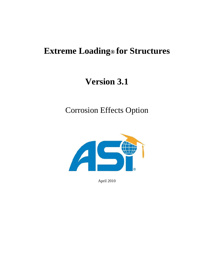# **Extreme Loading® for Structures**

# **Version 3.1**

Corrosion Effects Option



April 2010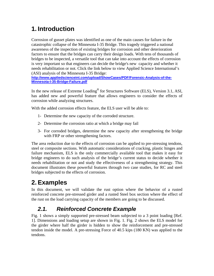## **1. Introduction**

Corrosion of gusset plates was identified as one of the main causes for failure in the catastrophic collapse of the Minnesota I-35 Bridge. This tragedy triggered a national awareness of the inspection of existing bridges for corrosion and other deterioration factors to ensure that the bridges can carry their design loads. With tens of thousands of bridges to be inspected, a versatile tool that can take into account the effects of corrosion is very important so that engineers can decide the bridge's new capacity and whether it needs rehabilitation or not. Click the link below to view Applied Science International's (ASI) analysis of the Minnesota I-35 Bridge:

**[http://www.appliedscienceint.com/upload/ShowCases/PDF/Forensic-Analysis-of-the-](http://www.appliedscienceint.com/upload/ShowCases/PDF/Forensic-Analysis-of-the-Minnesota-I-35-Bridge-Failure.pdf)[Minnesota-I-35-Bridge-Failure.pdf](http://www.appliedscienceint.com/upload/ShowCases/PDF/Forensic-Analysis-of-the-Minnesota-I-35-Bridge-Failure.pdf)**

In the new release of Extreme Loading® for Structures Software (ELS), Version 3.1, ASI, has added new and powerful feature that allows engineers to consider the effects of corrosion while analyzing structures.

With the added corrosion effects feature, the ELS user will be able to:

- 1- Determine the new capacity of the corroded structure.
- 2- Determine the corrosion ratio at which a bridge may fail
- 3- For corroded bridges, determine the new capacity after strengthening the bridge with FRP or other strengthening factors.

The area reduction due to the effects of corrosion can be applied to pre-stressing tendons, steel or composite sections. With automatic considerations of cracking, plastic hinges and failure mechanism, ELS is the only commercially available tool that makes it easy for bridge engineers to do such analysis of the bridge's current status to decide whether it needs rehabilitation or not and study the effectiveness of a strengthening strategy. This document illustrates these powerful features through two case studies, for RC and steel bridges subjected to the effects of corrosion.

## **2.Examples**

In this document, we will validate the rust option where the behavior of a rusted reinforced concrete pre-stressed girder and a rusted Steel box section where the effect of the rust on the load carrying capacity of the members are going to be discussed.

### *2.1. Reinforced Concrete Example*

[Fig. 1](#page-2-0) shows a simply supported pre-stressed beam subjected to a 3 point loading [Ref. 1]. Dimensions and loading setup are shown in [Fig. 1.](#page-2-0) [Fig. 2](#page-3-0) shows the ELS model for the girder where half the girder is hidden to show the reinforcement and pre-stressed tendon inside the model. A pre-stressing Force of 40.5 kips (180 KN) was applied to the tendons.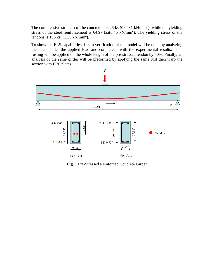The compressive strength of the concrete is  $6.26 \text{ ksi}(0.0431 \text{ kN/mm}^2)$ , while the yielding stress of the steel reinforcement is  $64.97 \text{ ksi}(0.45 \text{ kN/mm}^2)$ . The yielding stress of the tendons is 196 ksi  $(1.35 \text{ kN/mm}^2)$ .

To show the ELS capabilities; first a verification of the model will be done by analyzing the beam under the applied load and compare it with the experimental results. Then rusting will be applied on the whole length of the pre-stressed tendon by 50%. Finally, an analysis of the same girder will be preformed by applying the same rust then warp the section with FRP plates.



<span id="page-2-0"></span>**Fig. 1** Pre-Stressed Reinforced Concrete Girder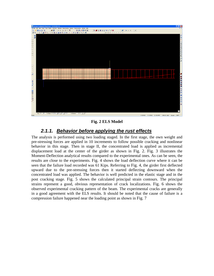

**Fig. 2 ELS Model** 

#### *2.1.1. Behavior before applying the rust effects*

<span id="page-3-0"></span>The analysis is performed using two loading staged. In the first stage, the own weight and pre-stressing forces are applied in 10 increments to follow possible cracking and nonlinear behavior in this stage. Then in stage II, the concentrated load is applied as incremental displacement load at the center of the girder as shown in [Fig. 2.](#page-3-0) [Fig. 3](#page-4-0) illustrates the Moment-Deflection analytical results compared to the experimental ones. As can be seen, the results are close to the experiments. [Fig. 4](#page-4-1) shows the load deflection curve where it can be seen that the failure load recorded was 61 Kips. Referring to [Fig. 4,](#page-4-1) the girder first deflected upward due to the pre-stressing forces then it started deflecting downward when the concentrated load was applied. The behavior is well predicted in the elastic stage and in the post cracking stage. [Fig. 5](#page-5-0) shows the calculated principal strain contours. The principal strains represent a good, obvious representation of crack localizations. [Fig. 6](#page-5-1) shows the observed experimental cracking pattern of the beam. The experimental cracks are generally in a good agreement with the ELS results. It should be noted that the cause of failure is a compression failure happened near the loading point as shown in [Fig. 7](#page-6-0)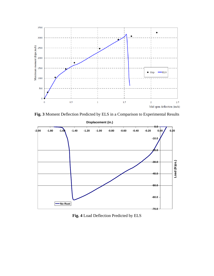

**Fig. 3** Moment Deflection Predicted by ELS in a Comparison to Experimental Results

<span id="page-4-0"></span>

<span id="page-4-1"></span>**Fig. 4** Load Deflection Predicted by ELS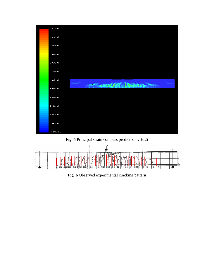

**Fig. 5** Principal strain contours predicted by ELS

<span id="page-5-1"></span><span id="page-5-0"></span>

**Fig. 6** Observed experimental cracking pattern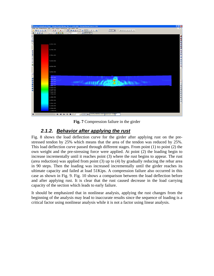

**Fig. 7** Compression failure in the girder

#### *2.1.2. Behavior after applying the rust*

<span id="page-6-0"></span>[Fig. 8](#page-7-0) shows the load deflection curve for the girder after applying rust on the prestressed tendon by 25% which means that the area of the tendon was reduced by 25%. This load deflection curve passed through different stages. From point (1) to point (2) the own weight and the pre-stressing force were applied. At point (2) the loading begin to increase incrementally until it reaches point (3) where the rust begins to appear. The rust (area reduction) was applied from point (3) up to (4) by gradually reducing the rebar area in 90 steps. Then the loading was increased incrementally until the girder reaches its ultimate capacity and failed at load 51Kips. A compression failure also occurred in this case as shown in Fig. 9. [Fig. 10](#page-8-0) shows a comparison between the load deflection before and after applying rust. It is clear that the rust caused decrease in the load carrying capacity of the section which leads to early failure.

It should be emphasized that in nonlinear analysis, applying the rust changes from the beginning of the analysis may lead to inaccurate results since the sequence of loading is a critical factor using nonlinear analysis while it is not a factor using linear analysis.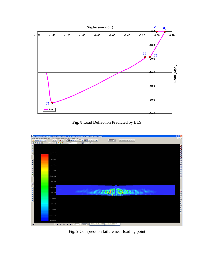

**Fig. 8** Load Deflection Predicted by ELS

<span id="page-7-0"></span>

**Fig. 9** Compression failure near loading point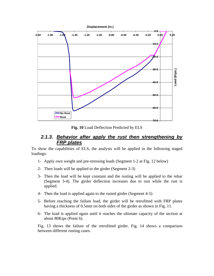

**Fig. 10** Load Deflection Predicted by ELS

#### *2.1.3. Behavior after apply the rust then strengthening by FRP plates*

<span id="page-8-0"></span>To show the capabilities of ELS, the analysis will be applied in the following staged loadings:

- 1- Apply own weight and pre-stressing loads (Segment 1-2 at Fig. 12 below)
- 2- Then loads will be applied to the girder (Segment 2-3)
- 3- Then the load will be kept constant and the rusting will be applied to the rebar (Segment 3-4). The girder deflection increases due to rust while the rust is applied.
- 4- Then the load is applied again to the rusted girder (Segment 4-5)
- 5- Before reaching the failure load, the girder will be retrofitted with FRP plates having a thickness of 0.5mm on both sides of the girder as shown in [Fig. 11.](#page-9-0)
- 6- The load is applied again until it reaches the ultimate capacity of the section at about 80Kips (Point 6).

[Fig. 13](#page-10-0) shows the failure of the retrofitted girder. [Fig. 14](#page-10-1) shows a comparison between different rusting cases.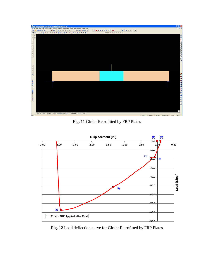

**Fig. 11** Girder Retrofitted by FRP Plates

<span id="page-9-0"></span>

**Fig. 12** Load deflection curve for Girder Retrofitted by FRP Plates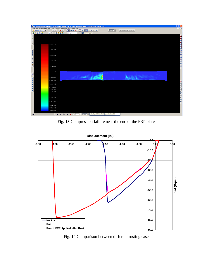

**Fig. 13** Compression failure near the end of the FRP plates

<span id="page-10-0"></span>

**Displacement (in.)**

<span id="page-10-1"></span>**Fig. 14** Comparison between different rusting cases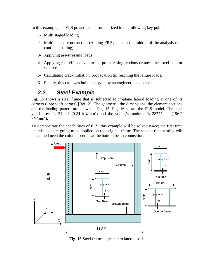In this example, the ELS power can be summarized in the following key points:

- 1- Multi staged loading
- 2- Multi staged construction (Adding FRP plates in the middle of the analysis then continue loading)
- 3- Applying pre-stressing loads
- 4- Applying rust effects even to the pre-stressing tendons or any other steel bars or sections.
- 5- Calculating crack initiation, propagation till reaching the failure loads.
- 6- Finally, this case was built, analyzed by an engineer not a scientist.

#### *2.2. Steel Example*

[Fig. 15](#page-11-0) shows a steel frame that is subjected to in-plane lateral loading at one of its corners (upper-left corner) [Ref. 2]. The geometry, the dimensions, the element sections and the loading pattern are shown in [Fig. 15](#page-11-0). [Fig. 16](#page-12-0) shows the ELS model. The steel yield stress is  $34$  ksi  $(0.24 \text{ kN/mm}^2)$  and the young's modulus is 28777 ksi  $(196.2 \text{ kN/mm}^2)$  $kN/mm^2$ ).

To demonstrate the capabilities of ELS, this example will be solved twice; the first time lateral loads are going to be applied on the original frame. The second time rusting will be applied need the columns end near the bottom beam connection.



<span id="page-11-0"></span>**Fig. 15** Steel frame subjected to lateral loads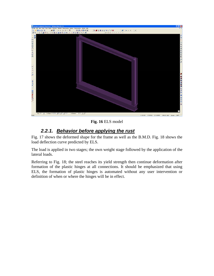

**Fig. 16** ELS model

#### *2.2.1. Behavior before applying the rust*

<span id="page-12-0"></span>[Fig. 17](#page-13-0) shows the deformed shape for the frame as well as the B.M.D. [Fig. 18](#page-13-1) shows the load deflection curve predicted by ELS.

The load is applied in two stages; the own weight stage followed by the application of the lateral loads.

Referring to Fig. 18; the steel reaches its yield strength then continue deformation after formation of the plastic hinges at all connections. It should be emphasized that using ELS, the formation of plastic hinges is automated without any user intervention or definition of when or where the hinges will be in effect.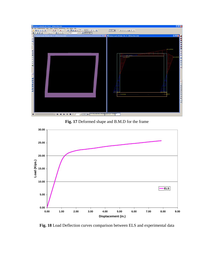

**Fig. 17** Deformed shape and B.M.D for the frame

<span id="page-13-0"></span>

<span id="page-13-1"></span>**Fig. 18** Load Deflection curves comparison between ELS and experimental data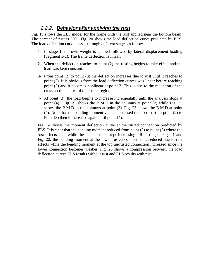#### *2.2.2. Behavior after applying the rust*

[Fig. 19](#page-15-0) shows the ELS model for the frame with the rust applied near the bottom beam. The percent of rust is 50%. [Fig. 20](#page-15-1) shows the load deflection curve predicted by ELS. The load deflection curve passes through deferent stages as follows:

- 1- In stage 1, the own weight is applied followed by lateral displacement loading (Segment 1-2). The frame deflection is linear.
- 2- When the deflection reaches to point (2) the rusting begins to take effect and the load was kept constant.
- 3- From point (2) to point (3) the deflection increases due to rust until it reaches to point (3). It is obvious from the load deflection curves was linear before reaching point (2) and it becomes nonlinear at point 3. This is due to the reduction of the cross sectional area of the rusted region.
- 4- At point (3), the load begins to increase incrementally until the analysis stops at point (4). [Fig. 21](#page-16-0) shows the B.M.D in the columns at point (2) while [Fig. 22](#page-16-1) shows the B.M.D in the columns at point (3). [Fig. 23](#page-17-0) shows the B.M.D at point (4). Note that the bending moment values decreased due to rust from point (2) to Point (3) then it increased again until point (4).

[Fig. 24](#page-17-1) shows the moment deflection curve at the rusted connection predicted by ELS. It is clear that the bending moment reduced from point (2) to point (3) where the rust effects ends while the displacement kept increasing. Referring to Fig. 21 and Fig. 22, the bending moment at the lower rusted connection is reduced due to rust effects while the bending moment at the top un-rusted connection increased since the lower connection becomes weaker. [Fig. 25](#page-18-0) shows a compression between the load deflection curves ELS results without rust and ELS results with rust.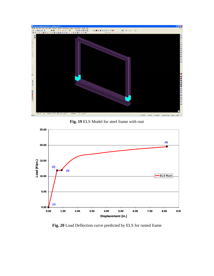

**Fig. 19** ELS Model for steel frame with rust

<span id="page-15-0"></span>

<span id="page-15-1"></span>**Fig. 20** Load Deflection curve predicted by ELS for rusted frame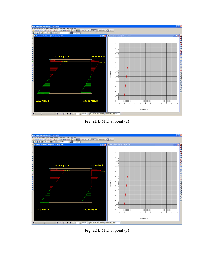



<span id="page-16-0"></span>

<span id="page-16-1"></span>**Fig. 22** B.M.D at point (3)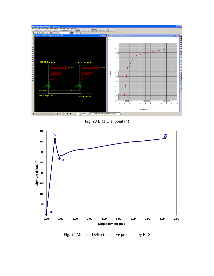



<span id="page-17-0"></span>

<span id="page-17-1"></span>**Fig. 24** Moment Deflection curve predicted by ELS